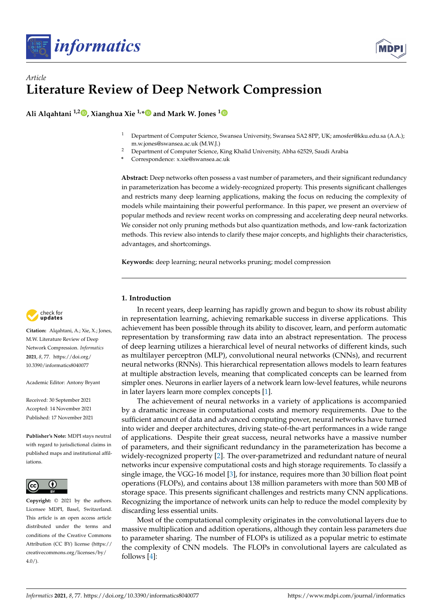



# *Article* **Literature Review of Deep Network Compression**

**Ali Alqahtani 1,2 [,](https://orcid.org/0000-0003-1052-2657) Xianghua Xie 1,[\\*](https://orcid.org/0000-0002-2701-8660) and Mark W. Jones [1](https://orcid.org/0000-0001-8991-1190)**

- <sup>1</sup> Department of Computer Science, Swansea University, Swansea SA2 8PP, UK; amosfer@kku.edu.sa (A.A.); m.w.jones@swansea.ac.uk (M.W.J.)
- <sup>2</sup> Department of Computer Science, King Khalid University, Abha 62529, Saudi Arabia
- **\*** Correspondence: x.xie@swansea.ac.uk

**Abstract:** Deep networks often possess a vast number of parameters, and their significant redundancy in parameterization has become a widely-recognized property. This presents significant challenges and restricts many deep learning applications, making the focus on reducing the complexity of models while maintaining their powerful performance. In this paper, we present an overview of popular methods and review recent works on compressing and accelerating deep neural networks. We consider not only pruning methods but also quantization methods, and low-rank factorization methods. This review also intends to clarify these major concepts, and highlights their characteristics, advantages, and shortcomings.

**Keywords:** deep learning; neural networks pruning; model compression

# **1. Introduction**

In recent years, deep learning has rapidly grown and begun to show its robust ability in representation learning, achieving remarkable success in diverse applications. This achievement has been possible through its ability to discover, learn, and perform automatic representation by transforming raw data into an abstract representation. The process of deep learning utilizes a hierarchical level of neural networks of different kinds, such as multilayer perceptron (MLP), convolutional neural networks (CNNs), and recurrent neural networks (RNNs). This hierarchical representation allows models to learn features at multiple abstraction levels, meaning that complicated concepts can be learned from simpler ones. Neurons in earlier layers of a network learn low-level features, while neurons in later layers learn more complex concepts [\[1\]](#page-8-0).

The achievement of neural networks in a variety of applications is accompanied by a dramatic increase in computational costs and memory requirements. Due to the sufficient amount of data and advanced computing power, neural networks have turned into wider and deeper architectures, driving state-of-the-art performances in a wide range of applications. Despite their great success, neural networks have a massive number of parameters, and their significant redundancy in the parameterization has become a widely-recognized property [\[2\]](#page-8-1). The over-parametrized and redundant nature of neural networks incur expensive computational costs and high storage requirements. To classify a single image, the VGG-16 model [\[3\]](#page-8-2), for instance, requires more than 30 billion float point operations (FLOPs), and contains about 138 million parameters with more than 500 MB of storage space. This presents significant challenges and restricts many CNN applications. Recognizing the importance of network units can help to reduce the model complexity by discarding less essential units.

Most of the computational complexity originates in the convolutional layers due to massive multiplication and addition operations, although they contain less parameters due to parameter sharing. The number of FLOPs is utilized as a popular metric to estimate the complexity of CNN models. The FLOPs in convolutional layers are calculated as follows [\[4\]](#page-8-3):



**Citation:** Alqahtani, A.; Xie, X.; Jones, M.W. Literature Review of Deep Network Compression. *Informatics* **2021**, *8*, 77. [https://doi.org/](https://doi.org/10.3390/informatics8040077) [10.3390/informatics8040077](https://doi.org/10.3390/informatics8040077)

Academic Editor: Antony Bryant

Received: 30 September 2021 Accepted: 14 November 2021 Published: 17 November 2021

**Publisher's Note:** MDPI stays neutral with regard to jurisdictional claims in published maps and institutional affiliations.



**Copyright:** © 2021 by the authors. Licensee MDPI, Basel, Switzerland. This article is an open access article distributed under the terms and conditions of the Creative Commons Attribution (CC BY) license (https:/[/](https://creativecommons.org/licenses/by/4.0/) [creativecommons.org/licenses/by/](https://creativecommons.org/licenses/by/4.0/)  $4.0/$ ).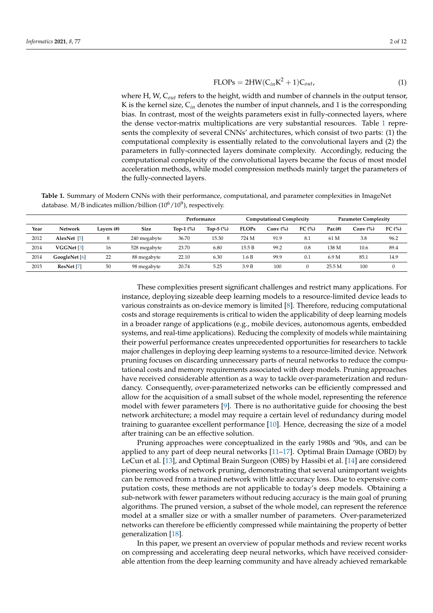$$
FLOPs = 2HW(C_{in}K^2 + 1)C_{out},
$$
\n(1)

where H, W, C*out* refers to the height, width and number of channels in the output tensor, K is the kernel size,  $C_{in}$  denotes the number of input channels, and 1 is the corresponding bias. In contrast, most of the weights parameters exist in fully-connected layers, where the dense vector-matrix multiplications are very substantial resources. Table [1](#page-1-0) represents the complexity of several CNNs' architectures, which consist of two parts: (1) the computational complexity is essentially related to the convolutional layers and (2) the parameters in fully-connected layers dominate complexity. Accordingly, reducing the computational complexity of the convolutional layers became the focus of most model acceleration methods, while model compression methods mainly target the parameters of the fully-connected layers.

<span id="page-1-0"></span>**Table 1.** Summary of Modern CNNs with their performance, computational, and parameter complexities in ImageNet database. M/B indicates million/billion  $(10^6/10^9)$ , respectively.

|      |                       |               |              | Performance  |             | <b>Computational Complexity</b> |             |            | <b>Parameter Complexity</b> |             |              |
|------|-----------------------|---------------|--------------|--------------|-------------|---------------------------------|-------------|------------|-----------------------------|-------------|--------------|
| Year | Network               | Lavers $(\#)$ | <b>Size</b>  | Top-1 $(\%)$ | Top-5 $(%)$ | <b>FLOPs</b>                    | Conv $(\%)$ | FC $(\% )$ | Par.(#)                     | Conv $(\%)$ | FC(%)        |
| 2012 | AlexNet [5]           | 8             | 240 megabyte | 36.70        | 15.30       | 724 M                           | 91.9        | 8.1        | 61 M                        | 3.8         | 96.2         |
| 2014 | VGGNet <sup>[3]</sup> | 16            | 528 megabyte | 23.70        | 6.80        | 15.5 B                          | 99.2        | 0.8        | 138 M                       | 10.6        | 89.4         |
| 2014 | GoogleNet [6]         | 22            | 88 megabyte  | 22.10        | 6.30        | 1.6 B                           | 99.9        | 0.1        | 6.9 M                       | 85.1        | 14.9         |
| 2015 | ResNet [7]            | 50            | 98 megabyte  | 20.74        | 5.25        | 3.9 B                           | 100         | $\Omega$   | 25.5M                       | 100         | $\mathbf{0}$ |

These complexities present significant challenges and restrict many applications. For instance, deploying sizeable deep learning models to a resource-limited device leads to various constraints as on-device memory is limited [\[8\]](#page-8-7). Therefore, reducing computational costs and storage requirements is critical to widen the applicability of deep learning models in a broader range of applications (e.g., mobile devices, autonomous agents, embedded systems, and real-time applications). Reducing the complexity of models while maintaining their powerful performance creates unprecedented opportunities for researchers to tackle major challenges in deploying deep learning systems to a resource-limited device. Network pruning focuses on discarding unnecessary parts of neural networks to reduce the computational costs and memory requirements associated with deep models. Pruning approaches have received considerable attention as a way to tackle over-parameterization and redundancy. Consequently, over-parameterized networks can be efficiently compressed and allow for the acquisition of a small subset of the whole model, representing the reference model with fewer parameters [\[9\]](#page-9-0). There is no authoritative guide for choosing the best network architecture; a model may require a certain level of redundancy during model training to guarantee excellent performance [\[10\]](#page-9-1). Hence, decreasing the size of a model after training can be an effective solution.

Pruning approaches were conceptualized in the early 1980s and '90s, and can be applied to any part of deep neural networks [\[11–](#page-9-2)[17\]](#page-9-3). Optimal Brain Damage (OBD) by LeCun et al. [\[13\]](#page-9-4), and Optimal Brain Surgeon (OBS) by Hassibi et al. [\[14\]](#page-9-5) are considered pioneering works of network pruning, demonstrating that several unimportant weights can be removed from a trained network with little accuracy loss. Due to expensive computation costs, these methods are not applicable to today's deep models. Obtaining a sub-network with fewer parameters without reducing accuracy is the main goal of pruning algorithms. The pruned version, a subset of the whole model, can represent the reference model at a smaller size or with a smaller number of parameters. Over-parameterized networks can therefore be efficiently compressed while maintaining the property of better generalization [\[18\]](#page-9-6).

In this paper, we present an overview of popular methods and review recent works on compressing and accelerating deep neural networks, which have received considerable attention from the deep learning community and have already achieved remarkable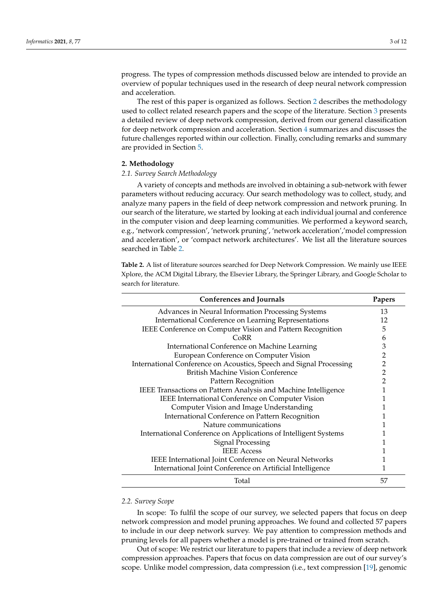progress. The types of compression methods discussed below are intended to provide an overview of popular techniques used in the research of deep neural network compression and acceleration.

The rest of this paper is organized as follows. Section [2](#page-2-0) describes the methodology used to collect related research papers and the scope of the literature. Section [3](#page-3-0) presents a detailed review of deep network compression, derived from our general classification for deep network compression and acceleration. Section [4](#page-7-0) summarizes and discusses the future challenges reported within our collection. Finally, concluding remarks and summary are provided in Section [5.](#page-8-8)

# <span id="page-2-0"></span>**2. Methodology**

# *2.1. Survey Search Methodology*

A variety of concepts and methods are involved in obtaining a sub-network with fewer parameters without reducing accuracy. Our search methodology was to collect, study, and analyze many papers in the field of deep network compression and network pruning. In our search of the literature, we started by looking at each individual journal and conference in the computer vision and deep learning communities. We performed a keyword search, e.g., 'network compression', 'network pruning', 'network acceleration','model compression and acceleration', or 'compact network architectures'. We list all the literature sources searched in Table [2.](#page-2-1)

<span id="page-2-1"></span>**Table 2.** A list of literature sources searched for Deep Network Compression. We mainly use IEEE Xplore, the ACM Digital Library, the Elsevier Library, the Springer Library, and Google Scholar to search for literature.

| Conferences and Journals                                            | Papers |
|---------------------------------------------------------------------|--------|
| Advances in Neural Information Processing Systems                   | 13     |
| International Conference on Learning Representations                | 12     |
| IEEE Conference on Computer Vision and Pattern Recognition          | 5      |
| CoRR                                                                | 6      |
| International Conference on Machine Learning                        | 3      |
| European Conference on Computer Vision                              | 2      |
| International Conference on Acoustics, Speech and Signal Processing | 2      |
| British Machine Vision Conference                                   | 2      |
| Pattern Recognition                                                 | 2      |
| IEEE Transactions on Pattern Analysis and Machine Intelligence      |        |
| IEEE International Conference on Computer Vision                    |        |
| Computer Vision and Image Understanding                             |        |
| International Conference on Pattern Recognition                     |        |
| Nature communications                                               |        |
| International Conference on Applications of Intelligent Systems     |        |
| <b>Signal Processing</b>                                            |        |
| <b>IEEE Access</b>                                                  |        |
| IEEE International Joint Conference on Neural Networks              |        |
| International Joint Conference on Artificial Intelligence           |        |
| Total                                                               | 57     |

# *2.2. Survey Scope*

In scope: To fulfil the scope of our survey, we selected papers that focus on deep network compression and model pruning approaches. We found and collected 57 papers to include in our deep network survey. We pay attention to compression methods and pruning levels for all papers whether a model is pre-trained or trained from scratch.

Out of scope: We restrict our literature to papers that include a review of deep network compression approaches. Papers that focus on data compression are out of our survey's scope. Unlike model compression, data compression (i.e., text compression [\[19\]](#page-9-7), genomic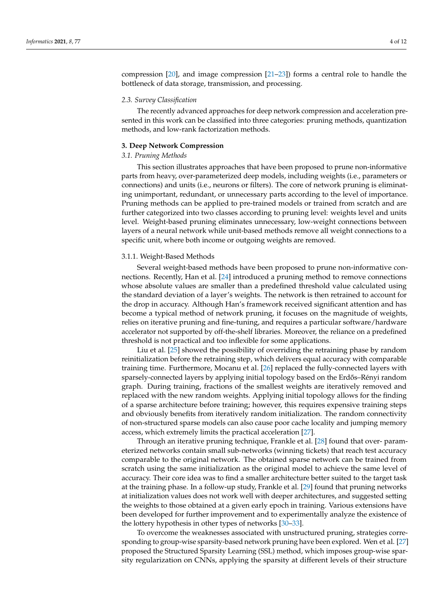compression [\[20\]](#page-9-8), and image compression [\[21–](#page-9-9)[23\]](#page-9-10)) forms a central role to handle the bottleneck of data storage, transmission, and processing.

# *2.3. Survey Classification*

The recently advanced approaches for deep network compression and acceleration presented in this work can be classified into three categories: pruning methods, quantization methods, and low-rank factorization methods.

# <span id="page-3-0"></span>**3. Deep Network Compression**

# *3.1. Pruning Methods*

This section illustrates approaches that have been proposed to prune non-informative parts from heavy, over-parameterized deep models, including weights (i.e., parameters or connections) and units (i.e., neurons or filters). The core of network pruning is eliminating unimportant, redundant, or unnecessary parts according to the level of importance. Pruning methods can be applied to pre-trained models or trained from scratch and are further categorized into two classes according to pruning level: weights level and units level. Weight-based pruning eliminates unnecessary, low-weight connections between layers of a neural network while unit-based methods remove all weight connections to a specific unit, where both income or outgoing weights are removed.

#### 3.1.1. Weight-Based Methods

Several weight-based methods have been proposed to prune non-informative connections. Recently, Han et al. [\[24\]](#page-9-11) introduced a pruning method to remove connections whose absolute values are smaller than a predefined threshold value calculated using the standard deviation of a layer's weights. The network is then retrained to account for the drop in accuracy. Although Han's framework received significant attention and has become a typical method of network pruning, it focuses on the magnitude of weights, relies on iterative pruning and fine-tuning, and requires a particular software/hardware accelerator not supported by off-the-shelf libraries. Moreover, the reliance on a predefined threshold is not practical and too inflexible for some applications.

Liu et al. [\[25\]](#page-9-12) showed the possibility of overriding the retraining phase by random reinitialization before the retraining step, which delivers equal accuracy with comparable training time. Furthermore, Mocanu et al. [\[26\]](#page-9-13) replaced the fully-connected layers with sparsely-connected layers by applying initial topology based on the Erdős–Rényi random graph. During training, fractions of the smallest weights are iteratively removed and replaced with the new random weights. Applying initial topology allows for the finding of a sparse architecture before training; however, this requires expensive training steps and obviously benefits from iteratively random initialization. The random connectivity of non-structured sparse models can also cause poor cache locality and jumping memory access, which extremely limits the practical acceleration [\[27\]](#page-9-14).

Through an iterative pruning technique, Frankle et al. [\[28\]](#page-9-15) found that over- parameterized networks contain small sub-networks (winning tickets) that reach test accuracy comparable to the original network. The obtained sparse network can be trained from scratch using the same initialization as the original model to achieve the same level of accuracy. Their core idea was to find a smaller architecture better suited to the target task at the training phase. In a follow-up study, Frankle et al. [\[29\]](#page-9-16) found that pruning networks at initialization values does not work well with deeper architectures, and suggested setting the weights to those obtained at a given early epoch in training. Various extensions have been developed for further improvement and to experimentally analyze the existence of the lottery hypothesis in other types of networks [\[30–](#page-9-17)[33\]](#page-9-18).

To overcome the weaknesses associated with unstructured pruning, strategies corresponding to group-wise sparsity-based network pruning have been explored. Wen et al. [\[27\]](#page-9-14) proposed the Structured Sparsity Learning (SSL) method, which imposes group-wise sparsity regularization on CNNs, applying the sparsity at different levels of their structure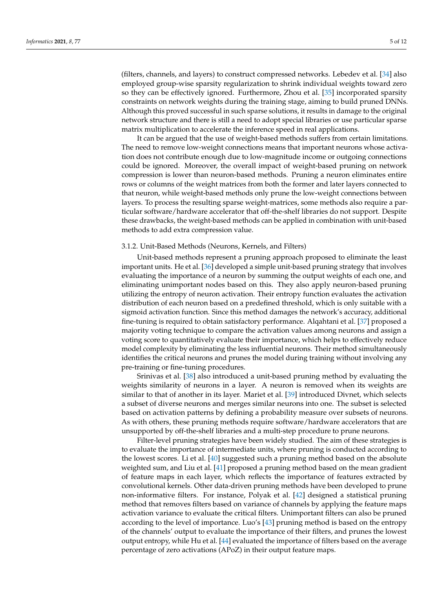(filters, channels, and layers) to construct compressed networks. Lebedev et al. [\[34\]](#page-9-19) also employed group-wise sparsity regularization to shrink individual weights toward zero so they can be effectively ignored. Furthermore, Zhou et al. [\[35\]](#page-9-20) incorporated sparsity constraints on network weights during the training stage, aiming to build pruned DNNs. Although this proved successful in such sparse solutions, it results in damage to the original network structure and there is still a need to adopt special libraries or use particular sparse matrix multiplication to accelerate the inference speed in real applications.

It can be argued that the use of weight-based methods suffers from certain limitations. The need to remove low-weight connections means that important neurons whose activation does not contribute enough due to low-magnitude income or outgoing connections could be ignored. Moreover, the overall impact of weight-based pruning on network compression is lower than neuron-based methods. Pruning a neuron eliminates entire rows or columns of the weight matrices from both the former and later layers connected to that neuron, while weight-based methods only prune the low-weight connections between layers. To process the resulting sparse weight-matrices, some methods also require a particular software/hardware accelerator that off-the-shelf libraries do not support. Despite these drawbacks, the weight-based methods can be applied in combination with unit-based methods to add extra compression value.

#### 3.1.2. Unit-Based Methods (Neurons, Kernels, and Filters)

Unit-based methods represent a pruning approach proposed to eliminate the least important units. He et al. [\[36\]](#page-9-21) developed a simple unit-based pruning strategy that involves evaluating the importance of a neuron by summing the output weights of each one, and eliminating unimportant nodes based on this. They also apply neuron-based pruning utilizing the entropy of neuron activation. Their entropy function evaluates the activation distribution of each neuron based on a predefined threshold, which is only suitable with a sigmoid activation function. Since this method damages the network's accuracy, additional fine-tuning is required to obtain satisfactory performance. Alqahtani et al. [\[37\]](#page-10-0) proposed a majority voting technique to compare the activation values among neurons and assign a voting score to quantitatively evaluate their importance, which helps to effectively reduce model complexity by eliminating the less influential neurons. Their method simultaneously identifies the critical neurons and prunes the model during training without involving any pre-training or fine-tuning procedures.

Srinivas et al. [\[38\]](#page-10-1) also introduced a unit-based pruning method by evaluating the weights similarity of neurons in a layer. A neuron is removed when its weights are similar to that of another in its layer. Mariet et al. [\[39\]](#page-10-2) introduced Divnet, which selects a subset of diverse neurons and merges similar neurons into one. The subset is selected based on activation patterns by defining a probability measure over subsets of neurons. As with others, these pruning methods require software/hardware accelerators that are unsupported by off-the-shelf libraries and a multi-step procedure to prune neurons.

Filter-level pruning strategies have been widely studied. The aim of these strategies is to evaluate the importance of intermediate units, where pruning is conducted according to the lowest scores. Li et al. [\[40\]](#page-10-3) suggested such a pruning method based on the absolute weighted sum, and Liu et al. [\[41\]](#page-10-4) proposed a pruning method based on the mean gradient of feature maps in each layer, which reflects the importance of features extracted by convolutional kernels. Other data-driven pruning methods have been developed to prune non-informative filters. For instance, Polyak et al. [\[42\]](#page-10-5) designed a statistical pruning method that removes filters based on variance of channels by applying the feature maps activation variance to evaluate the critical filters. Unimportant filters can also be pruned according to the level of importance. Luo's [\[43\]](#page-10-6) pruning method is based on the entropy of the channels' output to evaluate the importance of their filters, and prunes the lowest output entropy, while Hu et al. [\[44\]](#page-10-7) evaluated the importance of filters based on the average percentage of zero activations (APoZ) in their output feature maps.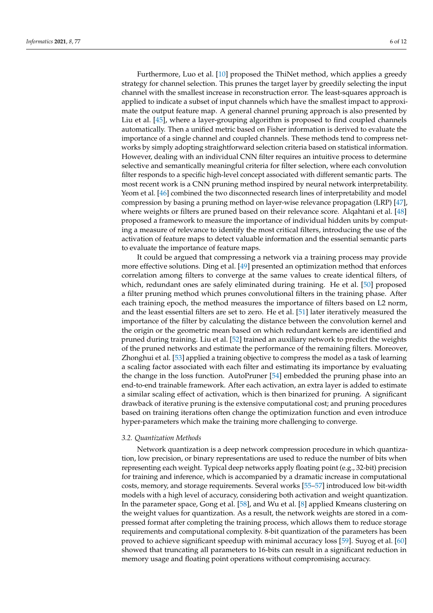Furthermore, Luo et al. [\[10\]](#page-9-1) proposed the ThiNet method, which applies a greedy strategy for channel selection. This prunes the target layer by greedily selecting the input channel with the smallest increase in reconstruction error. The least-squares approach is applied to indicate a subset of input channels which have the smallest impact to approximate the output feature map. A general channel pruning approach is also presented by Liu et al. [\[45\]](#page-10-8), where a layer-grouping algorithm is proposed to find coupled channels automatically. Then a unified metric based on Fisher information is derived to evaluate the importance of a single channel and coupled channels. These methods tend to compress networks by simply adopting straightforward selection criteria based on statistical information. However, dealing with an individual CNN filter requires an intuitive process to determine selective and semantically meaningful criteria for filter selection, where each convolution filter responds to a specific high-level concept associated with different semantic parts. The most recent work is a CNN pruning method inspired by neural network interpretability. Yeom et al. [\[46\]](#page-10-9) combined the two disconnected research lines of interpretability and model compression by basing a pruning method on layer-wise relevance propagation (LRP) [\[47\]](#page-10-10), where weights or filters are pruned based on their relevance score. Alqahtani et al. [\[48\]](#page-10-11) proposed a framework to measure the importance of individual hidden units by computing a measure of relevance to identify the most critical filters, introducing the use of the activation of feature maps to detect valuable information and the essential semantic parts to evaluate the importance of feature maps.

It could be argued that compressing a network via a training process may provide more effective solutions. Ding et al. [\[49\]](#page-10-12) presented an optimization method that enforces correlation among filters to converge at the same values to create identical filters, of which, redundant ones are safely eliminated during training. He et al. [\[50\]](#page-10-13) proposed a filter pruning method which prunes convolutional filters in the training phase. After each training epoch, the method measures the importance of filters based on L2 norm, and the least essential filters are set to zero. He et al. [\[51\]](#page-10-14) later iteratively measured the importance of the filter by calculating the distance between the convolution kernel and the origin or the geometric mean based on which redundant kernels are identified and pruned during training. Liu et al. [\[52\]](#page-10-15) trained an auxiliary network to predict the weights of the pruned networks and estimate the performance of the remaining filters. Moreover, Zhonghui et al. [\[53\]](#page-10-16) applied a training objective to compress the model as a task of learning a scaling factor associated with each filter and estimating its importance by evaluating the change in the loss function. AutoPruner [\[54\]](#page-10-17) embedded the pruning phase into an end-to-end trainable framework. After each activation, an extra layer is added to estimate a similar scaling effect of activation, which is then binarized for pruning. A significant drawback of iterative pruning is the extensive computational cost; and pruning procedures based on training iterations often change the optimization function and even introduce hyper-parameters which make the training more challenging to converge.

# *3.2. Quantization Methods*

Network quantization is a deep network compression procedure in which quantization, low precision, or binary representations are used to reduce the number of bits when representing each weight. Typical deep networks apply floating point (e.g., 32-bit) precision for training and inference, which is accompanied by a dramatic increase in computational costs, memory, and storage requirements. Several works [\[55](#page-10-18)[–57\]](#page-10-19) introduced low bit-width models with a high level of accuracy, considering both activation and weight quantization. In the parameter space, Gong et al. [\[58\]](#page-10-20), and Wu et al. [\[8\]](#page-8-7) applied Kmeans clustering on the weight values for quantization. As a result, the network weights are stored in a compressed format after completing the training process, which allows them to reduce storage requirements and computational complexity. 8-bit quantization of the parameters has been proved to achieve significant speedup with minimal accuracy loss [\[59\]](#page-10-21). Suyog et al. [\[60\]](#page-10-22) showed that truncating all parameters to 16-bits can result in a significant reduction in memory usage and floating point operations without compromising accuracy.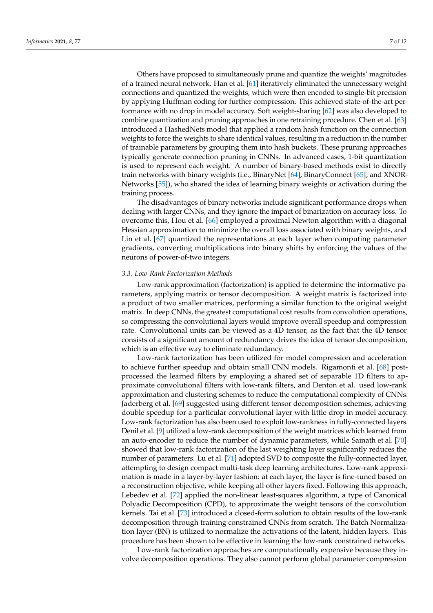Others have proposed to simultaneously prune and quantize the weights' magnitudes of a trained neural network. Han et al. [\[61\]](#page-10-23) iteratively eliminated the unnecessary weight connections and quantized the weights, which were then encoded to single-bit precision by applying Huffman coding for further compression. This achieved state-of-the-art performance with no drop in model accuracy. Soft weight-sharing [\[62\]](#page-10-24) was also developed to combine quantization and pruning approaches in one retraining procedure. Chen et al. [\[63\]](#page-10-25) introduced a HashedNets model that applied a random hash function on the connection weights to force the weights to share identical values, resulting in a reduction in the number of trainable parameters by grouping them into hash buckets. These pruning approaches typically generate connection pruning in CNNs. In advanced cases, 1-bit quantization is used to represent each weight. A number of binary-based methods exist to directly train networks with binary weights (i.e., BinaryNet [\[64\]](#page-11-0), BinaryConnect [\[65\]](#page-11-1), and XNOR-Networks [\[55\]](#page-10-18)), who shared the idea of learning binary weights or activation during the training process.

The disadvantages of binary networks include significant performance drops when dealing with larger CNNs, and they ignore the impact of binarization on accuracy loss. To overcome this, Hou et al. [\[66\]](#page-11-2) employed a proximal Newton algorithm with a diagonal Hessian approximation to minimize the overall loss associated with binary weights, and Lin et al. [\[67\]](#page-11-3) quantized the representations at each layer when computing parameter gradients, converting multiplications into binary shifts by enforcing the values of the neurons of power-of-two integers.

# *3.3. Low-Rank Factorization Methods*

Low-rank approximation (factorization) is applied to determine the informative parameters, applying matrix or tensor decomposition. A weight matrix is factorized into a product of two smaller matrices, performing a similar function to the original weight matrix. In deep CNNs, the greatest computational cost results from convolution operations, so compressing the convolutional layers would improve overall speedup and compression rate. Convolutional units can be viewed as a 4D tensor, as the fact that the 4D tensor consists of a significant amount of redundancy drives the idea of tensor decomposition, which is an effective way to eliminate redundancy.

Low-rank factorization has been utilized for model compression and acceleration to achieve further speedup and obtain small CNN models. Rigamonti et al. [\[68\]](#page-11-4) postprocessed the learned filters by employing a shared set of separable 1D filters to approximate convolutional filters with low-rank filters, and Denton et al. used low-rank approximation and clustering schemes to reduce the computational complexity of CNNs. Jaderberg et al. [\[69\]](#page-11-5) suggested using different tensor decomposition schemes, achieving double speedup for a particular convolutional layer with little drop in model accuracy. Low-rank factorization has also been used to exploit low-rankness in fully-connected layers. Denil et al. [\[9\]](#page-9-0) utilized a low-rank decomposition of the weight matrices which learned from an auto-encoder to reduce the number of dynamic parameters, while Sainath et al. [\[70\]](#page-11-6) showed that low-rank factorization of the last weighting layer significantly reduces the number of parameters. Lu et al. [\[71\]](#page-11-7) adopted SVD to composite the fully-connected layer, attempting to design compact multi-task deep learning architectures. Low-rank approximation is made in a layer-by-layer fashion: at each layer, the layer is fine-tuned based on a reconstruction objective, while keeping all other layers fixed. Following this approach, Lebedev et al. [\[72\]](#page-11-8) applied the non-linear least-squares algorithm, a type of Canonical Polyadic Decomposition (CPD), to approximate the weight tensors of the convolution kernels. Tai et al. [\[73\]](#page-11-9) introduced a closed-form solution to obtain results of the low-rank decomposition through training constrained CNNs from scratch. The Batch Normalization layer (BN) is utilized to normalize the activations of the latent, hidden layers. This procedure has been shown to be effective in learning the low-rank constrained networks.

Low-rank factorization approaches are computationally expensive because they involve decomposition operations. They also cannot perform global parameter compression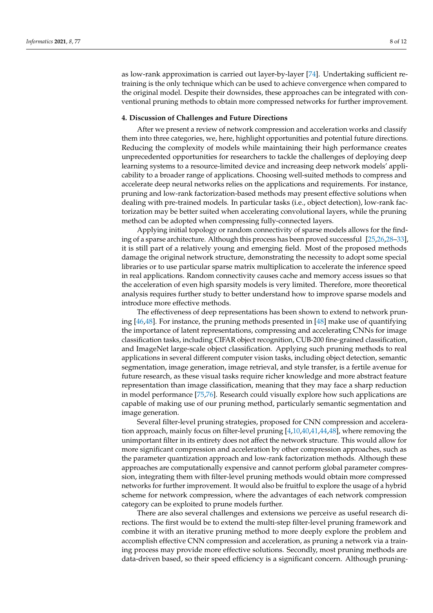as low-rank approximation is carried out layer-by-layer [\[74\]](#page-11-10). Undertaking sufficient retraining is the only technique which can be used to achieve convergence when compared to the original model. Despite their downsides, these approaches can be integrated with conventional pruning methods to obtain more compressed networks for further improvement.

# <span id="page-7-0"></span>**4. Discussion of Challenges and Future Directions**

After we present a review of network compression and acceleration works and classify them into three categories, we, here, highlight opportunities and potential future directions. Reducing the complexity of models while maintaining their high performance creates unprecedented opportunities for researchers to tackle the challenges of deploying deep learning systems to a resource-limited device and increasing deep network models' applicability to a broader range of applications. Choosing well-suited methods to compress and accelerate deep neural networks relies on the applications and requirements. For instance, pruning and low-rank factorization-based methods may present effective solutions when dealing with pre-trained models. In particular tasks (i.e., object detection), low-rank factorization may be better suited when accelerating convolutional layers, while the pruning method can be adopted when compressing fully-connected layers.

Applying initial topology or random connectivity of sparse models allows for the finding of a sparse architecture. Although this process has been proved successful [\[25,](#page-9-12)[26,](#page-9-13)[28–](#page-9-15)[33\]](#page-9-18), it is still part of a relatively young and emerging field. Most of the proposed methods damage the original network structure, demonstrating the necessity to adopt some special libraries or to use particular sparse matrix multiplication to accelerate the inference speed in real applications. Random connectivity causes cache and memory access issues so that the acceleration of even high sparsity models is very limited. Therefore, more theoretical analysis requires further study to better understand how to improve sparse models and introduce more effective methods.

The effectiveness of deep representations has been shown to extend to network pruning [\[46](#page-10-9)[,48\]](#page-10-11). For instance, the pruning methods presented in [\[48\]](#page-10-11) make use of quantifying the importance of latent representations, compressing and accelerating CNNs for image classification tasks, including CIFAR object recognition, CUB-200 fine-grained classification, and ImageNet large-scale object classification. Applying such pruning methods to real applications in several different computer vision tasks, including object detection, semantic segmentation, image generation, image retrieval, and style transfer, is a fertile avenue for future research, as these visual tasks require richer knowledge and more abstract feature representation than image classification, meaning that they may face a sharp reduction in model performance [\[75](#page-11-11)[,76\]](#page-11-12). Research could visually explore how such applications are capable of making use of our pruning method, particularly semantic segmentation and image generation.

Several filter-level pruning strategies, proposed for CNN compression and acceleration approach, mainly focus on filter-level pruning [\[4,](#page-8-3)[10,](#page-9-1)[40,](#page-10-3)[41](#page-10-4)[,44](#page-10-7)[,48\]](#page-10-11), where removing the unimportant filter in its entirety does not affect the network structure. This would allow for more significant compression and acceleration by other compression approaches, such as the parameter quantization approach and low-rank factorization methods. Although these approaches are computationally expensive and cannot perform global parameter compression, integrating them with filter-level pruning methods would obtain more compressed networks for further improvement. It would also be fruitful to explore the usage of a hybrid scheme for network compression, where the advantages of each network compression category can be exploited to prune models further.

There are also several challenges and extensions we perceive as useful research directions. The first would be to extend the multi-step filter-level pruning framework and combine it with an iterative pruning method to more deeply explore the problem and accomplish effective CNN compression and acceleration, as pruning a network via a training process may provide more effective solutions. Secondly, most pruning methods are data-driven based, so their speed efficiency is a significant concern. Although pruning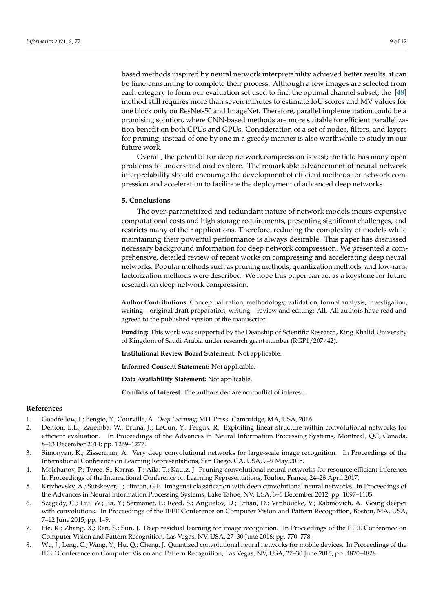based methods inspired by neural network interpretability achieved better results, it can be time-consuming to complete their process. Although a few images are selected from each category to form our evaluation set used to find the optimal channel subset, the [\[48\]](#page-10-11) method still requires more than seven minutes to estimate IoU scores and MV values for one block only on ResNet-50 and ImageNet. Therefore, parallel implementation could be a promising solution, where CNN-based methods are more suitable for efficient parallelization benefit on both CPUs and GPUs. Consideration of a set of nodes, filters, and layers for pruning, instead of one by one in a greedy manner is also worthwhile to study in our future work.

Overall, the potential for deep network compression is vast; the field has many open problems to understand and explore. The remarkable advancement of neural network interpretability should encourage the development of efficient methods for network compression and acceleration to facilitate the deployment of advanced deep networks.

# <span id="page-8-8"></span>**5. Conclusions**

The over-parametrized and redundant nature of network models incurs expensive computational costs and high storage requirements, presenting significant challenges, and restricts many of their applications. Therefore, reducing the complexity of models while maintaining their powerful performance is always desirable. This paper has discussed necessary background information for deep network compression. We presented a comprehensive, detailed review of recent works on compressing and accelerating deep neural networks. Popular methods such as pruning methods, quantization methods, and low-rank factorization methods were described. We hope this paper can act as a keystone for future research on deep network compression.

**Author Contributions:** Conceptualization, methodology, validation, formal analysis, investigation, writing—original draft preparation, writing—review and editing: All. All authors have read and agreed to the published version of the manuscript.

**Funding:** This work was supported by the Deanship of Scientific Research, King Khalid University of Kingdom of Saudi Arabia under research grant number (RGP1/207/42).

**Institutional Review Board Statement:** Not applicable.

**Informed Consent Statement:** Not applicable.

**Data Availability Statement:** Not applicable.

**Conflicts of Interest:** The authors declare no conflict of interest.

# **References**

- <span id="page-8-0"></span>1. Goodfellow, I.; Bengio, Y.; Courville, A. *Deep Learning*; MIT Press: Cambridge, MA, USA, 2016.
- <span id="page-8-1"></span>2. Denton, E.L.; Zaremba, W.; Bruna, J.; LeCun, Y.; Fergus, R. Exploiting linear structure within convolutional networks for efficient evaluation. In Proceedings of the Advances in Neural Information Processing Systems, Montreal, QC, Canada, 8–13 December 2014; pp. 1269–1277.
- <span id="page-8-2"></span>3. Simonyan, K.; Zisserman, A. Very deep convolutional networks for large-scale image recognition. In Proceedings of the International Conference on Learning Representations, San Diego, CA, USA, 7–9 May 2015.
- <span id="page-8-3"></span>4. Molchanov, P.; Tyree, S.; Karras, T.; Aila, T.; Kautz, J. Pruning convolutional neural networks for resource efficient inference. In Proceedings of the International Conference on Learning Representations, Toulon, France, 24–26 April 2017.
- <span id="page-8-4"></span>5. Krizhevsky, A.; Sutskever, I.; Hinton, G.E. Imagenet classification with deep convolutional neural networks. In Proceedings of the Advances in Neural Information Processing Systems, Lake Tahoe, NV, USA, 3–6 December 2012; pp. 1097–1105.
- <span id="page-8-5"></span>6. Szegedy, C.; Liu, W.; Jia, Y.; Sermanet, P.; Reed, S.; Anguelov, D.; Erhan, D.; Vanhoucke, V.; Rabinovich, A. Going deeper with convolutions. In Proceedings of the IEEE Conference on Computer Vision and Pattern Recognition, Boston, MA, USA, 7–12 June 2015; pp. 1–9.
- <span id="page-8-6"></span>7. He, K.; Zhang, X.; Ren, S.; Sun, J. Deep residual learning for image recognition. In Proceedings of the IEEE Conference on Computer Vision and Pattern Recognition, Las Vegas, NV, USA, 27–30 June 2016; pp. 770–778.
- <span id="page-8-7"></span>8. Wu, J.; Leng, C.; Wang, Y.; Hu, Q.; Cheng, J. Quantized convolutional neural networks for mobile devices. In Proceedings of the IEEE Conference on Computer Vision and Pattern Recognition, Las Vegas, NV, USA, 27–30 June 2016; pp. 4820–4828.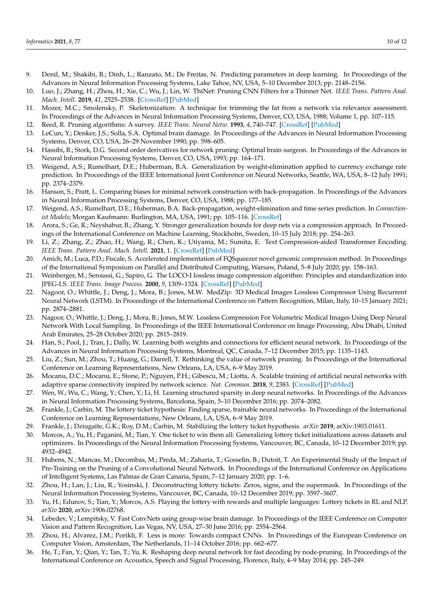- <span id="page-9-0"></span>9. Denil, M.; Shakibi, B.; Dinh, L.; Ranzato, M.; De Freitas, N. Predicting parameters in deep learning. In Proceedings of the Advances in Neural Information Processing Systems, Lake Tahoe, NV, USA, 5–10 December 2013; pp. 2148–2156.
- <span id="page-9-1"></span>10. Luo, J.; Zhang, H.; Zhou, H.; Xie, C.; Wu, J.; Lin, W. ThiNet: Pruning CNN Filters for a Thinner Net. *IEEE Trans. Pattern Anal. Mach. Intell.* **2019**, *41*, 2525–2538. [\[CrossRef\]](http://doi.org/10.1109/TPAMI.2018.2858232) [\[PubMed\]](http://www.ncbi.nlm.nih.gov/pubmed/30040622)
- <span id="page-9-2"></span>11. Mozer, M.C.; Smolensky, P. Skeletonization: A technique for trimming the fat from a network via relevance assessment. In Proceedings of the Advances in Neural Information Processing Systems, Denver, CO, USA, 1988; Volume 1, pp. 107–115.
- 12. Reed, R. Pruning algorithms: A survey. *IEEE Trans. Neural Netw.* **1993**, *4*, 740–747. [\[CrossRef\]](http://dx.doi.org/10.1109/72.248452) [\[PubMed\]](http://www.ncbi.nlm.nih.gov/pubmed/18276504)
- <span id="page-9-4"></span>13. LeCun, Y.; Denker, J.S.; Solla, S.A. Optimal brain damage. In Proceedings of the Advances in Neural Information Processing Systems, Denver, CO, USA, 26–29 November 1990; pp. 598–605.
- <span id="page-9-5"></span>14. Hassibi, B.; Stork, D.G. Second order derivatives for network pruning: Optimal brain surgeon. In Proceedings of the Advances in Neural Information Processing Systems, Denver, CO, USA, 1993; pp. 164–171.
- 15. Weigend, A.S.; Rumelhart, D.E.; Huberman, B.A. Generalization by weight-elimination applied to currency exchange rate prediction. In Proceedings of the IEEE International Joint Conference on Neural Networks, Seattle, WA, USA, 8–12 July 1991; pp. 2374–2379.
- 16. Hanson, S.; Pratt, L. Comparing biases for minimal network construction with back-propagation. In Proceedings of the Advances in Neural Information Processing Systems, Denver, CO, USA, 1988; pp. 177–185.
- <span id="page-9-3"></span>17. Weigend, A.S.; Rumelhart, D.E.; Huberman, B.A. Back-propagation, weight-elimination and time series prediction. In *Connectionist Models*; Morgan Kaufmann: Burlington, MA, USA, 1991; pp. 105–116. [\[CrossRef\]](http://dx.doi.org/10.1016/B978-1-4832-1448-1.50016-0)
- <span id="page-9-6"></span>18. Arora, S.; Ge, R.; Neyshabur, B.; Zhang, Y. Stronger generalization bounds for deep nets via a compression approach. In Proceedings of the International Conference on Machine Learning, Stockholm, Sweden, 10–15 July 2018; pp. 254–263.
- <span id="page-9-7"></span>19. Li, Z.; Zhang, Z.; Zhao, H.; Wang, R.; Chen, K.; Utiyama, M.; Sumita, E. Text Compression-aided Transformer Encoding. *IEEE Trans. Pattern Anal. Mach. Intell.* **2021**, 1. [\[CrossRef\]](http://dx.doi.org/10.1109/TPAMI.2021.3058341) [\[PubMed\]](http://www.ncbi.nlm.nih.gov/pubmed/33577448)
- <span id="page-9-8"></span>20. Amich, M.; Luca, P.D.; Fiscale, S. Accelerated implementation of FQSqueezer novel genomic compression method. In Proceedings of the International Symposium on Parallel and Distributed Computing, Warsaw, Poland, 5–8 July 2020; pp. 158–163.
- <span id="page-9-9"></span>21. Weinberger, M.; Seroussi, G.; Sapiro, G. The LOCO-I lossless image compression algorithm: Principles and standardization into JPEG-LS. *IEEE Trans. Image Process.* **2000**, *9*, 1309–1324. [\[CrossRef\]](http://dx.doi.org/10.1109/83.855427) [\[PubMed\]](http://www.ncbi.nlm.nih.gov/pubmed/18262969)
- 22. Nagoor, O.; Whittle, J.; Deng, J.; Mora, B.; Jones, M.W. MedZip: 3D Medical Images Lossless Compressor Using Recurrent Neural Network (LSTM). In Proceedings of the International Conference on Pattern Recognition, Milan, Italy, 10–15 January 2021; pp. 2874–2881.
- <span id="page-9-10"></span>23. Nagoor, O.; Whittle, J.; Deng, J.; Mora, B.; Jones, M.W. Lossless Compression For Volumetric Medical Images Using Deep Neural Network With Local Sampling. In Proceedings of the IEEE International Conference on Image Processing, Abu Dhabi, United Arab Emirates, 25–28 October 2020; pp. 2815–2819.
- <span id="page-9-11"></span>24. Han, S.; Pool, J.; Tran, J.; Dally, W. Learning both weights and connections for efficient neural network. In Proceedings of the Advances in Neural Information Processing Systems, Montreal, QC, Canada, 7–12 December 2015; pp. 1135–1143.
- <span id="page-9-12"></span>25. Liu, Z.; Sun, M.; Zhou, T.; Huang, G.; Darrell, T. Rethinking the value of network pruning. In Proceedings of the International Conference on Learning Representations, New Orleans, LA, USA, 6–9 May 2019.
- <span id="page-9-13"></span>26. Mocanu, D.C.; Mocanu, E.; Stone, P.; Nguyen, P.H.; Gibescu, M.; Liotta, A. Scalable training of artificial neural networks with adaptive sparse connectivity inspired by network science. *Nat. Commun.* **2018**, *9*, 2383. [\[CrossRef\]](http://dx.doi.org/10.1038/s41467-018-04316-3) [\[PubMed\]](http://www.ncbi.nlm.nih.gov/pubmed/29921910)
- <span id="page-9-14"></span>27. Wen, W.; Wu, C.; Wang, Y.; Chen, Y.; Li, H. Learning structured sparsity in deep neural networks. In Proceedings of the Advances in Neural Information Processing Systems, Barcelona, Spain, 5–10 December 2016; pp. 2074–2082.
- <span id="page-9-15"></span>28. Frankle, J.; Carbin, M. The lottery ticket hypothesis: Finding sparse, trainable neural networks. In Proceedings of the International Conference on Learning Representations, New Orleans, LA, USA, 6–9 May 2019.
- <span id="page-9-16"></span>29. Frankle, J.; Dziugaite, G.K.; Roy, D.M.; Carbin, M. Stabilizing the lottery ticket hypothesis. *arXiv* **2019**, arXiv:1903.01611.
- <span id="page-9-17"></span>30. Morcos, A.; Yu, H.; Paganini, M.; Tian, Y. One ticket to win them all: Generalizing lottery ticket initializations across datasets and optimizers. In Proceedings of the Neural Information Processing Systems, Vancouver, BC, Canada, 10–12 December 2019; pp. 4932–4942.
- 31. Hubens, N.; Mancas, M.; Decombas, M.; Preda, M.; Zaharia, T.; Gosselin, B.; Dutoit, T. An Experimental Study of the Impact of Pre-Training on the Pruning of a Convolutional Neural Network. In Proceedings of the International Conference on Applications of Intelligent Systems, Las Palmas de Gran Canaria, Spain, 7–12 January 2020; pp. 1–6.
- 32. Zhou, H.; Lan, J.; Liu, R.; Yosinski, J. Deconstructing lottery tickets: Zeros, signs, and the supermask. In Proceedings of the Neural Information Processing Systems, Vancouver, BC, Canada, 10–12 December 2019; pp. 3597–3607.
- <span id="page-9-18"></span>33. Yu, H.; Edunov, S.; Tian, Y.; Morcos, A.S. Playing the lottery with rewards and multiple languages: Lottery tickets in RL and NLP. *arXiv* **2020**, arXiv:1906.02768.
- <span id="page-9-19"></span>34. Lebedev, V.; Lempitsky, V. Fast ConvNets using group-wise brain damage. In Proceedings of the IEEE Conference on Computer Vision and Pattern Recognition, Las Vegas, NV, USA, 27–30 June 2016; pp. 2554–2564.
- <span id="page-9-20"></span>35. Zhou, H.; Alvarez, J.M.; Porikli, F. Less is more: Towards compact CNNs. In Proceedings of the European Conference on Computer Vision, Amsterdam, The Netherlands, 11–14 October 2016; pp. 662–677.
- <span id="page-9-21"></span>36. He, T.; Fan, Y.; Qian, Y.; Tan, T.; Yu, K. Reshaping deep neural network for fast decoding by node-pruning. In Proceedings of the International Conference on Acoustics, Speech and Signal Processing, Florence, Italy, 4–9 May 2014; pp. 245–249.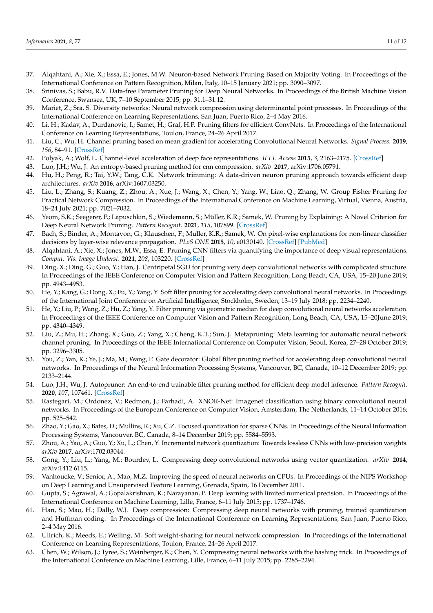- <span id="page-10-0"></span>37. Alqahtani, A.; Xie, X.; Essa, E.; Jones, M.W. Neuron-based Network Pruning Based on Majority Voting. In Proceedings of the International Conference on Pattern Recognition, Milan, Italy, 10–15 January 2021; pp. 3090–3097.
- <span id="page-10-1"></span>38. Srinivas, S.; Babu, R.V. Data-free Parameter Pruning for Deep Neural Networks. In Proceedings of the British Machine Vision Conference, Swansea, UK, 7–10 September 2015; pp. 31.1–31.12.
- <span id="page-10-2"></span>39. Mariet, Z.; Sra, S. Diversity networks: Neural network compression using determinantal point processes. In Proceedings of the International Conference on Learning Representations, San Juan, Puerto Rico, 2–4 May 2016.
- <span id="page-10-3"></span>40. Li, H.; Kadav, A.; Durdanovic, I.; Samet, H.; Graf, H.P. Pruning filters for efficient ConvNets. In Proceedings of the International Conference on Learning Representations, Toulon, France, 24–26 April 2017.
- <span id="page-10-4"></span>41. Liu, C.; Wu, H. Channel pruning based on mean gradient for accelerating Convolutional Neural Networks. *Signal Process.* **2019**, *156*, 84–91. [\[CrossRef\]](http://dx.doi.org/10.1016/j.sigpro.2018.10.019)
- <span id="page-10-5"></span>42. Polyak, A.; Wolf, L. Channel-level acceleration of deep face representations. *IEEE Access* **2015**, *3*, 2163–2175. [\[CrossRef\]](http://dx.doi.org/10.1109/ACCESS.2015.2494536)
- <span id="page-10-6"></span>43. Luo, J.H.; Wu, J. An entropy-based pruning method for cnn compression. *arXiv* **2017**, arXiv:1706.05791.
- <span id="page-10-7"></span>44. Hu, H.; Peng, R.; Tai, Y.W.; Tang, C.K. Network trimming: A data-driven neuron pruning approach towards efficient deep architectures. *arXiv* **2016**, arXiv:1607.03250.
- <span id="page-10-8"></span>45. Liu, L.; Zhang, S.; Kuang, Z.; Zhou, A.; Xue, J.; Wang, X.; Chen, Y.; Yang, W.; Liao, Q.; Zhang, W. Group Fisher Pruning for Practical Network Compression. In Proceedings of the International Conference on Machine Learning, Virtual, Vienna, Austria, 18–24 July 2021; pp. 7021–7032.
- <span id="page-10-9"></span>46. Yeom, S.K.; Seegerer, P.; Lapuschkin, S.; Wiedemann, S.; Müller, K.R.; Samek, W. Pruning by Explaining: A Novel Criterion for Deep Neural Network Pruning. *Pattern Recognit.* **2021**, *115*, 107899. [\[CrossRef\]](http://dx.doi.org/10.1016/j.patcog.2021.107899)
- <span id="page-10-10"></span>47. Bach, S.; Binder, A.; Montavon, G.; Klauschen, F.; Muller, K.R.; Samek, W. On pixel-wise explanations for non-linear classifier decisions by layer-wise relevance propagation. *PLoS ONE* **2015**, *10*, e0130140. [\[CrossRef\]](http://dx.doi.org/10.1371/journal.pone.0130140) [\[PubMed\]](http://www.ncbi.nlm.nih.gov/pubmed/26161953)
- <span id="page-10-11"></span>48. Alqahtani, A.; Xie, X.; Jones, M.W.; Essa, E. Pruning CNN filters via quantifying the importance of deep visual representations. *Comput. Vis. Image Underst.* **2021**, *208*, 103220. [\[CrossRef\]](http://dx.doi.org/10.1016/j.cviu.2021.103220)
- <span id="page-10-12"></span>49. Ding, X.; Ding, G.; Guo, Y.; Han, J. Centripetal SGD for pruning very deep convolutional networks with complicated structure. In Proceedings of the IEEE Conference on Computer Vision and Pattern Recognition, Long Beach, CA, USA, 15–20 June 2019; pp. 4943–4953.
- <span id="page-10-13"></span>50. He, Y.; Kang, G.; Dong, X.; Fu, Y.; Yang, Y. Soft filter pruning for accelerating deep convolutional neural networks. In Proceedings of the International Joint Conference on Artificial Intelligence, Stockholm, Sweden, 13–19 July 2018; pp. 2234–2240.
- <span id="page-10-14"></span>51. He, Y.; Liu, P.; Wang, Z.; Hu, Z.; Yang, Y. Filter pruning via geometric median for deep convolutional neural networks acceleration. In Proceedings of the IEEE Conference on Computer Vision and Pattern Recognition, Long Beach, CA, USA, 15–20June 2019; pp. 4340–4349.
- <span id="page-10-15"></span>52. Liu, Z.; Mu, H.; Zhang, X.; Guo, Z.; Yang, X.; Cheng, K.T.; Sun, J. Metapruning: Meta learning for automatic neural network channel pruning. In Proceedings of the IEEE International Conference on Computer Vision, Seoul, Korea, 27–28 October 2019; pp. 3296–3305.
- <span id="page-10-16"></span>53. You, Z.; Yan, K.; Ye, J.; Ma, M.; Wang, P. Gate decorator: Global filter pruning method for accelerating deep convolutional neural networks. In Proceedings of the Neural Information Processing Systems, Vancouver, BC, Canada, 10–12 December 2019; pp. 2133–2144.
- <span id="page-10-17"></span>54. Luo, J.H.; Wu, J. Autopruner: An end-to-end trainable filter pruning method for efficient deep model inference. *Pattern Recognit.* **2020**, *107*, 107461. [\[CrossRef\]](http://dx.doi.org/10.1016/j.patcog.2020.107461)
- <span id="page-10-18"></span>55. Rastegari, M.; Ordonez, V.; Redmon, J.; Farhadi, A. XNOR-Net: Imagenet classification using binary convolutional neural networks. In Proceedings of the European Conference on Computer Vision, Amsterdam, The Netherlands, 11–14 October 2016; pp. 525–542.
- 56. Zhao, Y.; Gao, X.; Bates, D.; Mullins, R.; Xu, C.Z. Focused quantization for sparse CNNs. In Proceedings of the Neural Information Processing Systems, Vancouver, BC, Canada, 8–14 December 2019; pp. 5584–5593.
- <span id="page-10-19"></span>57. Zhou, A.; Yao, A.; Guo, Y.; Xu, L.; Chen, Y. Incremental network quantization: Towards lossless CNNs with low-precision weights. *arXiv* **2017**, arXiv:1702.03044.
- <span id="page-10-20"></span>58. Gong, Y.; Liu, L.; Yang, M.; Bourdev, L. Compressing deep convolutional networks using vector quantization. *arXiv* **2014**, arXiv:1412.6115.
- <span id="page-10-21"></span>59. Vanhoucke, V.; Senior, A.; Mao, M.Z. Improving the speed of neural networks on CPUs. In Proceedings of the NIPS Workshop on Deep Learning and Unsupervised Feature Learning, Grenada, Spain, 16 December 2011.
- <span id="page-10-22"></span>60. Gupta, S.; Agrawal, A.; Gopalakrishnan, K.; Narayanan, P. Deep learning with limited numerical precision. In Proceedings of the International Conference on Machine Learning, Lille, France, 6–11 July 2015; pp. 1737–1746.
- <span id="page-10-23"></span>61. Han, S.; Mao, H.; Dally, W.J. Deep compression: Compressing deep neural networks with pruning, trained quantization and Huffman coding. In Proceedings of the International Conference on Learning Representations, San Juan, Puerto Rico, 2–4 May 2016.
- <span id="page-10-24"></span>62. Ullrich, K.; Meeds, E.; Welling, M. Soft weight-sharing for neural network compression. In Proceedings of the International Conference on Learning Representations, Toulon, France, 24–26 April 2017.
- <span id="page-10-25"></span>63. Chen, W.; Wilson, J.; Tyree, S.; Weinberger, K.; Chen, Y. Compressing neural networks with the hashing trick. In Proceedings of the International Conference on Machine Learning, Lille, France, 6–11 July 2015; pp. 2285–2294.